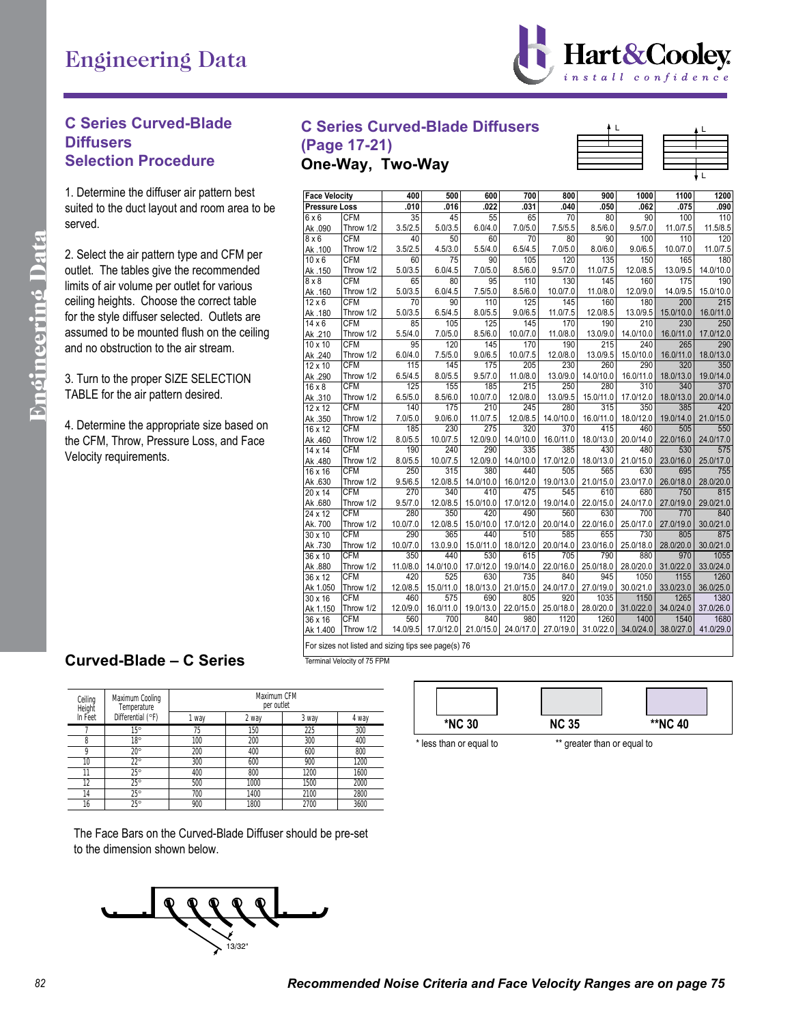

## **C Series Curved-Blade Diffusers Selection Procedure**

1. Determine the diffuser air pattern best suited to the duct layout and room area to be served.

2. Select the air pattern type and CFM per outlet. The tables give the recommended limits of air volume per outlet for various ceiling heights. Choose the correct table for the style diffuser selected. Outlets are assumed to be mounted flush on the ceiling and no obstruction to the air stream.

3. Turn to the proper SIZE SELECTION TABLE for the air pattern desired.

4. Determine the appropriate size based on the CFM, Throw, Pressure Loss, and Face Velocity requirements.

## **C Series Curved-Blade Diffusers**

**(Page 17-21) One-Way, Two-Way**

| Determine the diffuser air pattern best     | <b>Face Velocity</b> |                                                     | 400             | 500            | 600                        | 700            | 800                         | 900                 | 1000              | 1100              | 1200              |
|---------------------------------------------|----------------------|-----------------------------------------------------|-----------------|----------------|----------------------------|----------------|-----------------------------|---------------------|-------------------|-------------------|-------------------|
| ited to the duct layout and room area to be | <b>Pressure Loss</b> |                                                     | .010            | .016           | .022                       | .031           | .040                        | .050                | .062              | .075              | .090              |
|                                             | $6 \times 6$         | CFM                                                 | 35              | 45             | 55                         | 65             | 70                          | 80                  | 90                | 100               | 110               |
| rved.                                       | Ak .090              | Throw 1/2                                           | 3.5/2.5         | 5.0/3.5        | 6.0/4.0                    | 7.0/5.0        | 7.5/5.5                     | 8.5/6.0             | 9.5/7.0           | 11.0/7.5          | 11.5/8.5          |
|                                             | $8 \times 6$         | <b>CFM</b>                                          | 40              | 50             | 60                         | 70             | 80                          | 90                  | 100               | 110               | 120               |
| Select the air pattern type and CFM per     | Ak .100              | Throw 1/2                                           | 3.5/2.5         | 4.5/3.0        | 5.5/4.0                    | 6.5/4.5        | 7.0/5.0                     | 8.0/6.0             | 9.0/6.5           | 10.0/7.0          | 11.0/7.5          |
|                                             | $10 \times 6$        | <b>CFM</b>                                          | 60              | 75             | 90                         | 105            | 120                         | 135                 | 150               | 165               | 180               |
| tlet. The tables give the recommended       | Ak .150              | Throw 1/2                                           | 5.0/3.5         | 6.0/4.5        | 7.0/5.0                    | 8.5/6.0        | 9.5/7.0                     | 11.0/7.5            | 12.0/8.5          | 13.0/9.5          | 14.0/10.0         |
| hits of air volume per outlet for various   | $8 \times 8$         | <b>CFM</b>                                          | 65              | 80             | 95                         | 110            | 130                         | 145                 | 160               | 175               | 190               |
|                                             | Ak.160               | Throw 1/2                                           | 5.0/3.5         | 6.0/4.5        | 7.5/5.0                    | 8.5/6.0        | 10.0/7.0                    | 11.0/8.0            | 12.0/9.0          | 14.0/9.5          | 15.0/10.0         |
| iling heights. Choose the correct table     | $12 \times 6$        | <b>CFM</b>                                          | 70              | 90             | 110                        | 125            | 145                         | 160                 | 180               | 200               | 215               |
| the style diffuser selected. Outlets are    | Ak .180              | Throw 1/2<br><b>CFM</b>                             | 5.0/3.5<br>85   | 6.5/4.5        | 8.0/5.5<br>125             | 9.0/6.5<br>145 | 11.0/7.5<br>170             | 12.0/8.5<br>190     | 13.0/9.5<br>210   | 15.0/10.0<br>230  | 16.0/11.0         |
| sumed to be mounted flush on the ceiling    | $14 \times 6$        | Throw 1/2                                           | 5.5/4.0         | 105            |                            | 10.0/7.0       |                             |                     |                   |                   | 250               |
|                                             | Ak .210<br>10 x 10   | <b>CFM</b>                                          | 95              | 7.0/5.0<br>120 | 8.5/6.0<br>145             | 170            | 11.0/8.0<br>190             | 13.0/9.0<br>215     | 14.0/10.0<br>240  | 16.0/11.0<br>265  | 17.0/12.0<br>290  |
| d no obstruction to the air stream.         | Ak .240              | Throw 1/2                                           | 6.0/4.0         | 7.5/5.0        | 9.0/6.5                    | 10.0/7.5       | 12.0/8.0                    | 13.0/9.5            | 15.0/10.0         | 16.0/11.0         | 18.0/13.0         |
|                                             | $12 \times 10$       | CFM                                                 | 115             | 145            | 175                        | 205            | 230                         | 260                 | 290               | 320               | 350               |
|                                             | Ak .290              | Throw 1/2                                           | 6.5/4.5         | 8.0/5.5        | 9.5/7.0                    | 11.0/8.0       | 13.0/9.0                    | 14.0/10.0           | 16.0/11.0         | 18.0/13.0         | 19.0/14.0         |
| Turn to the proper SIZE SELECTION           | $16 \times 8$        | CFM                                                 | 125             | 155            | 185                        | 215            | 250                         | 280                 | 310               | 340               | 370               |
| <b>ABLE</b> for the air pattern desired.    | Ak .310              | Throw 1/2                                           | 6.5/5.0         | 8.5/6.0        | 10.0/7.0                   | 12.0/8.0       | 13.0/9.5                    | 15.0/11.0           | 17.0/12.0         | 18.0/13.0         | 20.0/14.0         |
|                                             | $12 \times 12$       | <b>CFM</b>                                          | 140             | 175            | 210                        | 245            | 280                         | 315                 | 350               | 385               | 420               |
|                                             | Ak .350              | Throw 1/2                                           | 7.0/5.0         | 9.0/6.0        | 11.0/7.5                   | 12.0/8.5       | 14.0/10.0                   | 16.0/11.0           | 18.0/12.0         | 19.0/14.0         | 21.0/15.0         |
| Determine the appropriate size based on     | 16 x 12              | <b>CFM</b>                                          | 185             | 230            | 275                        | 320            | 370                         | 415                 | 460               | 505               | 550               |
| e CFM, Throw, Pressure Loss, and Face       | Ak .460              | Throw 1/2                                           | 8.0/5.5         | 10.0/7.5       | 12.0/9.0                   | 14.0/10.0      | 16.0/11.0                   | 18.0/13.0           | 20.0/14.0         | 22.0/16.0         | 24.0/17.0         |
|                                             | 14 x 14              | <b>CFM</b>                                          | 190             | 240            | 290                        | 335            | 385                         | 430                 | 480               | 530               | 575               |
| locity requirements.                        | Ak .480              | Throw 1/2                                           | 8.0/5.5         | 10.0/7.5       | 12.0/9.0                   | 14.0/10.0      | 17.0/12.0                   | 18.0/13.0           | 21.0/15.0         | 23.0/16.0         | 25.0/17.0         |
|                                             | 16 x 16              | CFM                                                 | 250             | 315            | 380                        | 440            | 505                         | 565                 | 630               | 695               | 755               |
|                                             | Ak .630              | Throw 1/2                                           | 9.5/6.5         | 12.0/8.5       | 14.0/10.0                  | 16.0/12.0      |                             | 19.0/13.0 21.0/15.0 | 23.0/17.0         | 26.0/18.0         | 28.0/20.0         |
|                                             | 20 x 14              | <b>CFM</b>                                          | 270             | 340            | 410                        | 475            | 545                         | 610                 | 680               | 750               | 815               |
|                                             | Ak .680              | Throw 1/2                                           | 9.5/7.0         | 12.0/8.5       | 15.0/10.0                  | 17.0/12.0      | 19.0/14.0                   | 22.0/15.0           | 24.0/17.0         | 27.0/19.0         | 29.0/21.0         |
|                                             | 24 x 12              | CFM                                                 | 280             | 350            | 420                        | 490            | 560                         | 630                 | 700               | 770               | 840               |
|                                             | Ak. 700              | Throw 1/2                                           | 10.0/7.0        | 12.0/8.5       | 15.0/10.0                  | 17.0/12.0      | 20.0/14.0                   | 22.0/16.0           | 25.0/17.0         | 27.0/19.0         | 30.0/21.0         |
|                                             | $30 \times 10$       | CFM                                                 | 290             | 365            | 440                        | 510            | 585                         | 655                 | 730               | 805               | 875               |
|                                             | Ak .730              | Throw 1/2                                           | 10.0/7.0        | 13.0.9.0       | 15.0/11.0                  | 18.0/12.0      | 20.0/14.0                   | 23.0/16.0           | 25.0/18.0         | 28.0/20.0         | 30.0/21.0         |
|                                             | 36 x 10              | <b>CFM</b>                                          | 350             | 440            | 530                        | 615            | 705                         | 790                 | 880               | 970               | 1055              |
|                                             | Ak .880              | Throw 1/2                                           | 11.0/8.0        | 14.0/10.0      | 17.0/12.0                  | 19.0/14.0      | 22.0/16.0                   | 25.0/18.0           | 28.0/20.0         | 31.0/22.0         | 33.0/24.0         |
|                                             | $36 \times 12$       | <b>CFM</b>                                          | 420             | 525            | 630                        | 735            | 840                         | 945                 | 1050              | 1155              | 1260              |
|                                             | Ak 1.050             | Throw 1/2                                           | 12.0/8.5        |                | 15.0/11.0 18.0/13.0        | 21.0/15.0      | 24.0/17.0                   | 27.0/19.0           | 30.0/21.0         | 33.0/23.0         | 36.0/25.0         |
|                                             | 30 x 16              | <b>CFM</b>                                          | 460             | 575            | 690                        | 805            | 920                         | 1035                | 1150              | 1265              | 1380              |
|                                             | Ak 1.150<br>36 x 16  | Throw 1/2<br>CFM                                    | 12.0/9.0<br>560 | 700            | 16.0/11.0 19.0/13.0<br>840 | 980            | 22.0/15.0 25.0/18.0<br>1120 | 28.0/20.0<br>1260   | 31.0/22.0<br>1400 | 34.0/24.0<br>1540 | 37.0/26.0<br>1680 |
|                                             | Ak 1.400             | Throw 1/2                                           | 14.0/9.5        |                | 17.0/12.0 21.0/15.0        |                | 24.0/17.0 27.0/19.0         | 31.0/22.0           | 34.0/24.0         | 38.0/27.0         | 41.0/29.0         |
|                                             |                      |                                                     |                 |                |                            |                |                             |                     |                   |                   |                   |
|                                             |                      | For alroa pot lighed and airing tipe assessed at 76 |                 |                |                            |                |                             |                     |                   |                   |                   |

## **Curved-Blade – C Series CURVED BLADE – C SERIES**

Terminal Velocity of 75 FPM For sizes not listed and sizing tips see page(s) 76

| Ceiling<br>Height | Maximum Cooling<br>Temperature | Maximum CFM<br>per outlet |       |       |       |  |  |  |  |
|-------------------|--------------------------------|---------------------------|-------|-------|-------|--|--|--|--|
| In Feet           | Differential (°F)              | 1 way                     | 2 way | 3 way | 4 way |  |  |  |  |
|                   | $15^{\circ}$                   | 75                        | 150   | 225   | 300   |  |  |  |  |
| 8                 | $18^\circ$                     | 100                       | 200   | 300   | 400   |  |  |  |  |
| 9                 | $20^{\circ}$                   | 200                       | 400   | 600   | 800   |  |  |  |  |
| 10                | $22^{\circ}$                   | 300                       | 600   | 900   | 1200  |  |  |  |  |
| 11                | $25^{\circ}$                   | 400                       | 800   | 1200  | 1600  |  |  |  |  |
| 12                | $25^{\circ}$                   | 500                       | 1000  | 1500  | 2000  |  |  |  |  |
| 14                | $25^\circ$                     | 700                       | 1400  | 2100  | 2800  |  |  |  |  |
| 16                | $25^\circ$                     | 900                       | 1800  | 2700  | 3600  |  |  |  |  |

**\*NC 30 NC 35 \*\*NC 40** \* less than or equal to \*\* greater than or equal to

The Face Bars on the Curved-Blade Diffuser should be pre-set to the dimension shown below.